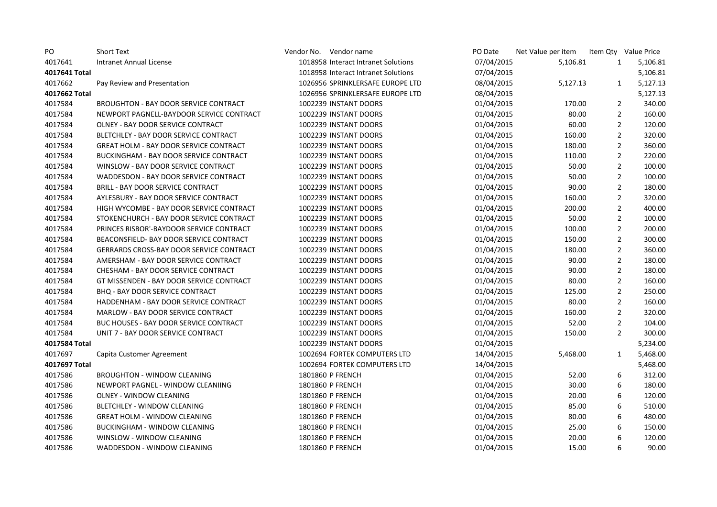| PO            | <b>Short Text</b>                               | Vendor No. Vendor name              | PO Date    | Net Value per item |                | Item Qty Value Price |
|---------------|-------------------------------------------------|-------------------------------------|------------|--------------------|----------------|----------------------|
| 4017641       | Intranet Annual License                         | 1018958 Interact Intranet Solutions | 07/04/2015 | 5,106.81           | $\mathbf{1}$   | 5,106.81             |
| 4017641 Total |                                                 | 1018958 Interact Intranet Solutions | 07/04/2015 |                    |                | 5,106.81             |
| 4017662       | Pay Review and Presentation                     | 1026956 SPRINKLERSAFE EUROPE LTD    | 08/04/2015 | 5,127.13           | 1              | 5,127.13             |
| 4017662 Total |                                                 | 1026956 SPRINKLERSAFE EUROPE LTD    | 08/04/2015 |                    |                | 5,127.13             |
| 4017584       | <b>BROUGHTON - BAY DOOR SERVICE CONTRACT</b>    | 1002239 INSTANT DOORS               | 01/04/2015 | 170.00             | $\overline{2}$ | 340.00               |
| 4017584       | NEWPORT PAGNELL-BAYDOOR SERVICE CONTRACT        | 1002239 INSTANT DOORS               | 01/04/2015 | 80.00              | $\overline{2}$ | 160.00               |
| 4017584       | OLNEY - BAY DOOR SERVICE CONTRACT               | 1002239 INSTANT DOORS               | 01/04/2015 | 60.00              | $\overline{2}$ | 120.00               |
| 4017584       | BLETCHLEY - BAY DOOR SERVICE CONTRACT           | 1002239 INSTANT DOORS               | 01/04/2015 | 160.00             | $\overline{2}$ | 320.00               |
| 4017584       | <b>GREAT HOLM - BAY DOOR SERVICE CONTRACT</b>   | 1002239 INSTANT DOORS               | 01/04/2015 | 180.00             | $\overline{2}$ | 360.00               |
| 4017584       | BUCKINGHAM - BAY DOOR SERVICE CONTRACT          | 1002239 INSTANT DOORS               | 01/04/2015 | 110.00             | $\overline{2}$ | 220.00               |
| 4017584       | WINSLOW - BAY DOOR SERVICE CONTRACT             | 1002239 INSTANT DOORS               | 01/04/2015 | 50.00              | $\overline{2}$ | 100.00               |
| 4017584       | WADDESDON - BAY DOOR SERVICE CONTRACT           | 1002239 INSTANT DOORS               | 01/04/2015 | 50.00              | $\overline{2}$ | 100.00               |
| 4017584       | <b>BRILL - BAY DOOR SERVICE CONTRACT</b>        | 1002239 INSTANT DOORS               | 01/04/2015 | 90.00              | $\overline{2}$ | 180.00               |
| 4017584       | AYLESBURY - BAY DOOR SERVICE CONTRACT           | 1002239 INSTANT DOORS               | 01/04/2015 | 160.00             | $\overline{2}$ | 320.00               |
| 4017584       | HIGH WYCOMBE - BAY DOOR SERVICE CONTRACT        | 1002239 INSTANT DOORS               | 01/04/2015 | 200.00             | $\overline{2}$ | 400.00               |
| 4017584       | STOKENCHURCH - BAY DOOR SERVICE CONTRACT        | 1002239 INSTANT DOORS               | 01/04/2015 | 50.00              | $\overline{2}$ | 100.00               |
| 4017584       | PRINCES RISBOR'-BAYDOOR SERVICE CONTRACT        | 1002239 INSTANT DOORS               | 01/04/2015 | 100.00             | $\overline{2}$ | 200.00               |
| 4017584       | BEACONSFIELD- BAY DOOR SERVICE CONTRACT         | 1002239 INSTANT DOORS               | 01/04/2015 | 150.00             | $\overline{2}$ | 300.00               |
| 4017584       | <b>GERRARDS CROSS-BAY DOOR SERVICE CONTRACT</b> | 1002239 INSTANT DOORS               | 01/04/2015 | 180.00             | $\overline{2}$ | 360.00               |
| 4017584       | AMERSHAM - BAY DOOR SERVICE CONTRACT            | 1002239 INSTANT DOORS               | 01/04/2015 | 90.00              | $\overline{2}$ | 180.00               |
| 4017584       | CHESHAM - BAY DOOR SERVICE CONTRACT             | 1002239 INSTANT DOORS               | 01/04/2015 | 90.00              | $\overline{2}$ | 180.00               |
| 4017584       | GT MISSENDEN - BAY DOOR SERVICE CONTRACT        | 1002239 INSTANT DOORS               | 01/04/2015 | 80.00              | $\overline{2}$ | 160.00               |
| 4017584       | <b>BHQ - BAY DOOR SERVICE CONTRACT</b>          | 1002239 INSTANT DOORS               | 01/04/2015 | 125.00             | $\overline{2}$ | 250.00               |
| 4017584       | HADDENHAM - BAY DOOR SERVICE CONTRACT           | 1002239 INSTANT DOORS               | 01/04/2015 | 80.00              | $\overline{2}$ | 160.00               |
| 4017584       | <b>MARLOW - BAY DOOR SERVICE CONTRACT</b>       | 1002239 INSTANT DOORS               | 01/04/2015 | 160.00             | $\overline{2}$ | 320.00               |
| 4017584       | BUC HOUSES - BAY DOOR SERVICE CONTRACT          | 1002239 INSTANT DOORS               | 01/04/2015 | 52.00              | $\overline{2}$ | 104.00               |
| 4017584       | UNIT 7 - BAY DOOR SERVICE CONTRACT              | 1002239 INSTANT DOORS               | 01/04/2015 | 150.00             | $\overline{2}$ | 300.00               |
| 4017584 Total |                                                 | 1002239 INSTANT DOORS               | 01/04/2015 |                    |                | 5,234.00             |
| 4017697       | Capita Customer Agreement                       | 1002694 FORTEK COMPUTERS LTD        | 14/04/2015 | 5,468.00           | $\mathbf{1}$   | 5,468.00             |
| 4017697 Total |                                                 | 1002694 FORTEK COMPUTERS LTD        | 14/04/2015 |                    |                | 5,468.00             |
| 4017586       | <b>BROUGHTON - WINDOW CLEANING</b>              | 1801860 P FRENCH                    | 01/04/2015 | 52.00              | 6              | 312.00               |
| 4017586       | NEWPORT PAGNEL - WINDOW CLEANIING               | 1801860 P FRENCH                    | 01/04/2015 | 30.00              | 6              | 180.00               |
| 4017586       | OLNEY - WINDOW CLEANING                         | 1801860 P FRENCH                    | 01/04/2015 | 20.00              | 6              | 120.00               |
| 4017586       | BLETCHLEY - WINDOW CLEANING                     | 1801860 P FRENCH                    | 01/04/2015 | 85.00              | 6              | 510.00               |
| 4017586       | <b>GREAT HOLM - WINDOW CLEANING</b>             | 1801860 P FRENCH                    | 01/04/2015 | 80.00              | 6              | 480.00               |
| 4017586       | <b>BUCKINGHAM - WINDOW CLEANING</b>             | 1801860 P FRENCH                    | 01/04/2015 | 25.00              | 6              | 150.00               |
| 4017586       | WINSLOW - WINDOW CLEANING                       | 1801860 P FRENCH                    | 01/04/2015 | 20.00              | 6              | 120.00               |
| 4017586       | WADDESDON - WINDOW CLEANING                     | 1801860 P FRENCH                    | 01/04/2015 | 15.00              | 6              | 90.00                |
|               |                                                 |                                     |            |                    |                |                      |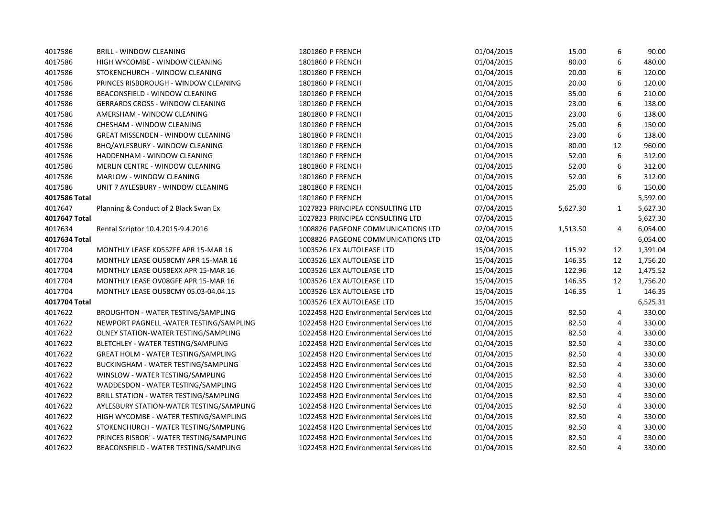| 4017586       | <b>BRILL - WINDOW CLEANING</b>            | 1801860 P FRENCH                       | 01/04/2015 | 15.00    | 6              | 90.00    |
|---------------|-------------------------------------------|----------------------------------------|------------|----------|----------------|----------|
| 4017586       | HIGH WYCOMBE - WINDOW CLEANING            | 1801860 P FRENCH                       | 01/04/2015 | 80.00    | 6              | 480.00   |
| 4017586       | STOKENCHURCH - WINDOW CLEANING            | 1801860 P FRENCH                       | 01/04/2015 | 20.00    | 6              | 120.00   |
| 4017586       | PRINCES RISBOROUGH - WINDOW CLEANING      | 1801860 P FRENCH                       | 01/04/2015 | 20.00    | 6              | 120.00   |
| 4017586       | BEACONSFIELD - WINDOW CLEANING            | 1801860 P FRENCH                       | 01/04/2015 | 35.00    | 6              | 210.00   |
| 4017586       | <b>GERRARDS CROSS - WINDOW CLEANING</b>   | 1801860 P FRENCH                       | 01/04/2015 | 23.00    | 6              | 138.00   |
| 4017586       | AMERSHAM - WINDOW CLEANING                | 1801860 P FRENCH                       | 01/04/2015 | 23.00    | 6              | 138.00   |
| 4017586       | CHESHAM - WINDOW CLEANING                 | 1801860 P FRENCH                       | 01/04/2015 | 25.00    | 6              | 150.00   |
| 4017586       | <b>GREAT MISSENDEN - WINDOW CLEANING</b>  | 1801860 P FRENCH                       | 01/04/2015 | 23.00    | 6              | 138.00   |
| 4017586       | BHQ/AYLESBURY - WINDOW CLEANING           | 1801860 P FRENCH                       | 01/04/2015 | 80.00    | 12             | 960.00   |
| 4017586       | HADDENHAM - WINDOW CLEANING               | 1801860 P FRENCH                       | 01/04/2015 | 52.00    | 6              | 312.00   |
| 4017586       | MERLIN CENTRE - WINDOW CLEANING           | 1801860 P FRENCH                       | 01/04/2015 | 52.00    | 6              | 312.00   |
| 4017586       | MARLOW - WINDOW CLEANING                  | 1801860 P FRENCH                       | 01/04/2015 | 52.00    | 6              | 312.00   |
| 4017586       | UNIT 7 AYLESBURY - WINDOW CLEANING        | 1801860 P FRENCH                       | 01/04/2015 | 25.00    | 6              | 150.00   |
| 4017586 Total |                                           | 1801860 P FRENCH                       | 01/04/2015 |          |                | 5,592.00 |
| 4017647       | Planning & Conduct of 2 Black Swan Ex     | 1027823 PRINCIPEA CONSULTING LTD       | 07/04/2015 | 5,627.30 | $\mathbf{1}$   | 5,627.30 |
| 4017647 Total |                                           | 1027823 PRINCIPEA CONSULTING LTD       | 07/04/2015 |          |                | 5,627.30 |
| 4017634       | Rental Scriptor 10.4.2015-9.4.2016        | 1008826 PAGEONE COMMUNICATIONS LTD     | 02/04/2015 | 1,513.50 | 4              | 6,054.00 |
| 4017634 Total |                                           | 1008826 PAGEONE COMMUNICATIONS LTD     | 02/04/2015 |          |                | 6,054.00 |
| 4017704       | MONTHLY LEASE KD55ZFE APR 15-MAR 16       | 1003526 LEX AUTOLEASE LTD              | 15/04/2015 | 115.92   | 12             | 1,391.04 |
| 4017704       | MONTHLY LEASE OU58CMY APR 15-MAR 16       | 1003526 LEX AUTOLEASE LTD              | 15/04/2015 | 146.35   | 12             | 1,756.20 |
| 4017704       | MONTHLY LEASE OU58EXX APR 15-MAR 16       | 1003526 LEX AUTOLEASE LTD              | 15/04/2015 | 122.96   | 12             | 1,475.52 |
| 4017704       | MONTHLY LEASE OV08GFE APR 15-MAR 16       | 1003526 LEX AUTOLEASE LTD              | 15/04/2015 | 146.35   | 12             | 1,756.20 |
| 4017704       | MONTHLY LEASE OU58CMY 05.03-04.04.15      | 1003526 LEX AUTOLEASE LTD              | 15/04/2015 | 146.35   | $\mathbf{1}$   | 146.35   |
| 4017704 Total |                                           | 1003526 LEX AUTOLEASE LTD              | 15/04/2015 |          |                | 6,525.31 |
| 4017622       | <b>BROUGHTON - WATER TESTING/SAMPLING</b> | 1022458 H2O Environmental Services Ltd | 01/04/2015 | 82.50    | $\overline{4}$ | 330.00   |
| 4017622       | NEWPORT PAGNELL - WATER TESTING/SAMPLING  | 1022458 H2O Environmental Services Ltd | 01/04/2015 | 82.50    | 4              | 330.00   |
| 4017622       | OLNEY STATION-WATER TESTING/SAMPLING      | 1022458 H2O Environmental Services Ltd | 01/04/2015 | 82.50    | 4              | 330.00   |
| 4017622       | BLETCHLEY - WATER TESTING/SAMPLING        | 1022458 H2O Environmental Services Ltd | 01/04/2015 | 82.50    | 4              | 330.00   |
| 4017622       | GREAT HOLM - WATER TESTING/SAMPLING       | 1022458 H2O Environmental Services Ltd | 01/04/2015 | 82.50    | 4              | 330.00   |
| 4017622       | BUCKINGHAM - WATER TESTING/SAMPLING       | 1022458 H2O Environmental Services Ltd | 01/04/2015 | 82.50    | 4              | 330.00   |
| 4017622       | WINSLOW - WATER TESTING/SAMPLING          | 1022458 H2O Environmental Services Ltd | 01/04/2015 | 82.50    | 4              | 330.00   |
| 4017622       | WADDESDON - WATER TESTING/SAMPLING        | 1022458 H2O Environmental Services Ltd | 01/04/2015 | 82.50    | 4              | 330.00   |
| 4017622       | BRILL STATION - WATER TESTING/SAMPLING    | 1022458 H2O Environmental Services Ltd | 01/04/2015 | 82.50    | 4              | 330.00   |
| 4017622       | AYLESBURY STATION-WATER TESTING/SAMPLING  | 1022458 H2O Environmental Services Ltd | 01/04/2015 | 82.50    | 4              | 330.00   |
| 4017622       | HIGH WYCOMBE - WATER TESTING/SAMPLING     | 1022458 H2O Environmental Services Ltd | 01/04/2015 | 82.50    | 4              | 330.00   |
| 4017622       | STOKENCHURCH - WATER TESTING/SAMPLING     | 1022458 H2O Environmental Services Ltd | 01/04/2015 | 82.50    | 4              | 330.00   |
| 4017622       | PRINCES RISBOR' - WATER TESTING/SAMPLING  | 1022458 H2O Environmental Services Ltd | 01/04/2015 | 82.50    | 4              | 330.00   |
| 4017622       | BEACONSFIELD - WATER TESTING/SAMPLING     | 1022458 H2O Environmental Services Ltd | 01/04/2015 | 82.50    | 4              | 330.00   |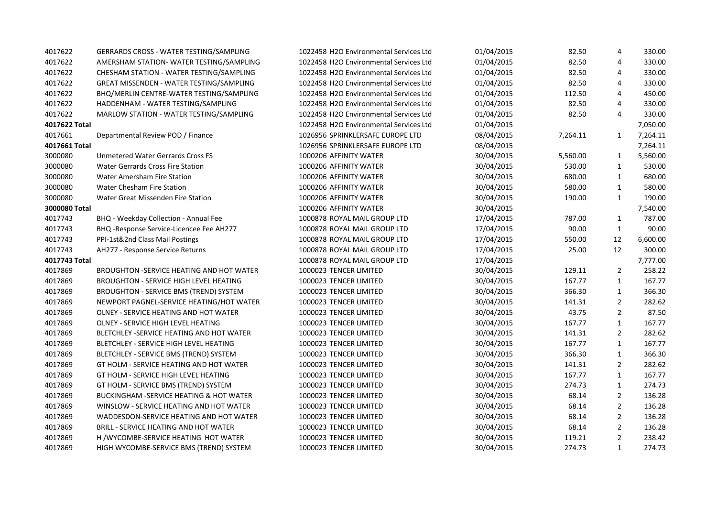| 4017622       | GERRARDS CROSS - WATER TESTING/SAMPLING            | 1022458 H2O Environmental Services Ltd | 01/04/2015 | 82.50    | 4              | 330.00   |
|---------------|----------------------------------------------------|----------------------------------------|------------|----------|----------------|----------|
| 4017622       | AMERSHAM STATION- WATER TESTING/SAMPLING           | 1022458 H2O Environmental Services Ltd | 01/04/2015 | 82.50    | 4              | 330.00   |
| 4017622       | CHESHAM STATION - WATER TESTING/SAMPLING           | 1022458 H2O Environmental Services Ltd | 01/04/2015 | 82.50    | 4              | 330.00   |
| 4017622       | GREAT MISSENDEN - WATER TESTING/SAMPLING           | 1022458 H2O Environmental Services Ltd | 01/04/2015 | 82.50    | 4              | 330.00   |
| 4017622       | BHQ/MERLIN CENTRE-WATER TESTING/SAMPLING           | 1022458 H2O Environmental Services Ltd | 01/04/2015 | 112.50   | 4              | 450.00   |
| 4017622       | HADDENHAM - WATER TESTING/SAMPLING                 | 1022458 H2O Environmental Services Ltd | 01/04/2015 | 82.50    | 4              | 330.00   |
| 4017622       | MARLOW STATION - WATER TESTING/SAMPLING            | 1022458 H2O Environmental Services Ltd | 01/04/2015 | 82.50    | 4              | 330.00   |
| 4017622 Total |                                                    | 1022458 H2O Environmental Services Ltd | 01/04/2015 |          |                | 7,050.00 |
| 4017661       | Departmental Review POD / Finance                  | 1026956 SPRINKLERSAFE EUROPE LTD       | 08/04/2015 | 7,264.11 | $\mathbf{1}$   | 7,264.11 |
| 4017661 Total |                                                    | 1026956 SPRINKLERSAFE EUROPE LTD       | 08/04/2015 |          |                | 7,264.11 |
| 3000080       | <b>Unmetered Water Gerrards Cross FS</b>           | 1000206 AFFINITY WATER                 | 30/04/2015 | 5,560.00 | $\mathbf{1}$   | 5,560.00 |
| 3000080       | <b>Water Gerrards Cross Fire Station</b>           | 1000206 AFFINITY WATER                 | 30/04/2015 | 530.00   | $\mathbf{1}$   | 530.00   |
| 3000080       | Water Amersham Fire Station                        | 1000206 AFFINITY WATER                 | 30/04/2015 | 680.00   | $\mathbf{1}$   | 680.00   |
| 3000080       | Water Chesham Fire Station                         | 1000206 AFFINITY WATER                 | 30/04/2015 | 580.00   | $\mathbf{1}$   | 580.00   |
| 3000080       | Water Great Missenden Fire Station                 | 1000206 AFFINITY WATER                 | 30/04/2015 | 190.00   | $\mathbf{1}$   | 190.00   |
| 3000080 Total |                                                    | 1000206 AFFINITY WATER                 | 30/04/2015 |          |                | 7,540.00 |
| 4017743       | BHQ - Weekday Collection - Annual Fee              | 1000878 ROYAL MAIL GROUP LTD           | 17/04/2015 | 787.00   | $\mathbf{1}$   | 787.00   |
| 4017743       | BHQ - Response Service-Licencee Fee AH277          | 1000878 ROYAL MAIL GROUP LTD           | 17/04/2015 | 90.00    | $\mathbf{1}$   | 90.00    |
| 4017743       | PPI-1st&2nd Class Mail Postings                    | 1000878 ROYAL MAIL GROUP LTD           | 17/04/2015 | 550.00   | 12             | 6,600.00 |
| 4017743       | AH277 - Response Service Returns                   | 1000878 ROYAL MAIL GROUP LTD           | 17/04/2015 | 25.00    | 12             | 300.00   |
| 4017743 Total |                                                    | 1000878 ROYAL MAIL GROUP LTD           | 17/04/2015 |          |                | 7,777.00 |
| 4017869       | <b>BROUGHTON -SERVICE HEATING AND HOT WATER</b>    | 1000023 TENCER LIMITED                 | 30/04/2015 | 129.11   | $\overline{2}$ | 258.22   |
| 4017869       | <b>BROUGHTON - SERVICE HIGH LEVEL HEATING</b>      | 1000023 TENCER LIMITED                 | 30/04/2015 | 167.77   | $\mathbf{1}$   | 167.77   |
| 4017869       | BROUGHTON - SERVICE BMS (TREND) SYSTEM             | 1000023 TENCER LIMITED                 | 30/04/2015 | 366.30   | $\mathbf{1}$   | 366.30   |
| 4017869       | NEWPORT PAGNEL-SERVICE HEATING/HOT WATER           | 1000023 TENCER LIMITED                 | 30/04/2015 | 141.31   | $\overline{2}$ | 282.62   |
| 4017869       | OLNEY - SERVICE HEATING AND HOT WATER              | 1000023 TENCER LIMITED                 | 30/04/2015 | 43.75    | $\overline{2}$ | 87.50    |
| 4017869       | OLNEY - SERVICE HIGH LEVEL HEATING                 | 1000023 TENCER LIMITED                 | 30/04/2015 | 167.77   | $\mathbf{1}$   | 167.77   |
| 4017869       | BLETCHLEY - SERVICE HEATING AND HOT WATER          | 1000023 TENCER LIMITED                 | 30/04/2015 | 141.31   | $\overline{2}$ | 282.62   |
| 4017869       | BLETCHLEY - SERVICE HIGH LEVEL HEATING             | 1000023 TENCER LIMITED                 | 30/04/2015 | 167.77   | $\mathbf{1}$   | 167.77   |
| 4017869       | BLETCHLEY - SERVICE BMS (TREND) SYSTEM             | 1000023 TENCER LIMITED                 | 30/04/2015 | 366.30   | $\mathbf{1}$   | 366.30   |
| 4017869       | GT HOLM - SERVICE HEATING AND HOT WATER            | 1000023 TENCER LIMITED                 | 30/04/2015 | 141.31   | $\overline{2}$ | 282.62   |
| 4017869       | GT HOLM - SERVICE HIGH LEVEL HEATING               | 1000023 TENCER LIMITED                 | 30/04/2015 | 167.77   | $\mathbf{1}$   | 167.77   |
| 4017869       | GT HOLM - SERVICE BMS (TREND) SYSTEM               | 1000023 TENCER LIMITED                 | 30/04/2015 | 274.73   | $\mathbf{1}$   | 274.73   |
| 4017869       | <b>BUCKINGHAM -SERVICE HEATING &amp; HOT WATER</b> | 1000023 TENCER LIMITED                 | 30/04/2015 | 68.14    | $\overline{2}$ | 136.28   |
| 4017869       | WINSLOW - SERVICE HEATING AND HOT WATER            | 1000023 TENCER LIMITED                 | 30/04/2015 | 68.14    | $\overline{2}$ | 136.28   |
| 4017869       | WADDESDON-SERVICE HEATING AND HOT WATER            | 1000023 TENCER LIMITED                 | 30/04/2015 | 68.14    | $\overline{2}$ | 136.28   |
| 4017869       | <b>BRILL - SERVICE HEATING AND HOT WATER</b>       | 1000023 TENCER LIMITED                 | 30/04/2015 | 68.14    | $\overline{2}$ | 136.28   |
| 4017869       | H /WYCOMBE-SERVICE HEATING HOT WATER               | 1000023 TENCER LIMITED                 | 30/04/2015 | 119.21   | $\overline{2}$ | 238.42   |
| 4017869       | HIGH WYCOMBE-SERVICE BMS (TREND) SYSTEM            | 1000023 TENCER LIMITED                 | 30/04/2015 | 274.73   | $\mathbf{1}$   | 274.73   |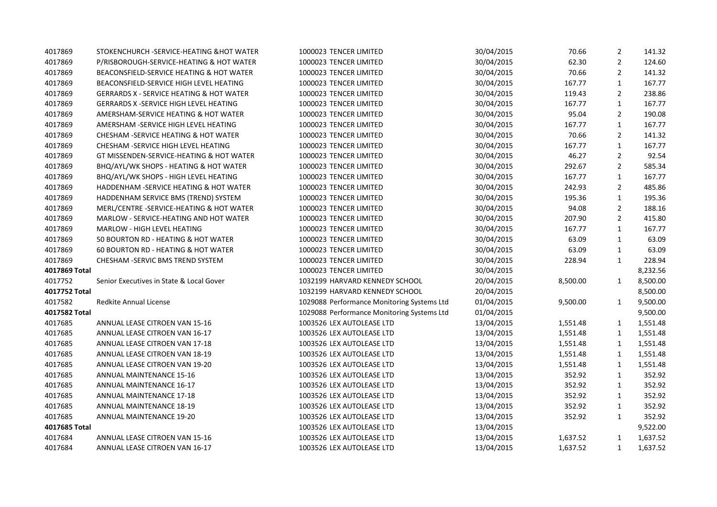| 4017869       | STOKENCHURCH - SERVICE-HEATING & HOT WATER          | 1000023 TENCER LIMITED                     | 30/04/2015 | 70.66    | $\overline{2}$ | 141.32   |
|---------------|-----------------------------------------------------|--------------------------------------------|------------|----------|----------------|----------|
| 4017869       | P/RISBOROUGH-SERVICE-HEATING & HOT WATER            | 1000023 TENCER LIMITED                     | 30/04/2015 | 62.30    | $\overline{2}$ | 124.60   |
| 4017869       | BEACONSFIELD-SERVICE HEATING & HOT WATER            | 1000023 TENCER LIMITED                     | 30/04/2015 | 70.66    | $\overline{2}$ | 141.32   |
| 4017869       | BEACONSFIELD-SERVICE HIGH LEVEL HEATING             | 1000023 TENCER LIMITED                     | 30/04/2015 | 167.77   | $\mathbf{1}$   | 167.77   |
| 4017869       | <b>GERRARDS X - SERVICE HEATING &amp; HOT WATER</b> | 1000023 TENCER LIMITED                     | 30/04/2015 | 119.43   | $\overline{2}$ | 238.86   |
| 4017869       | <b>GERRARDS X -SERVICE HIGH LEVEL HEATING</b>       | 1000023 TENCER LIMITED                     | 30/04/2015 | 167.77   | $\mathbf{1}$   | 167.77   |
| 4017869       | AMERSHAM-SERVICE HEATING & HOT WATER                | 1000023 TENCER LIMITED                     | 30/04/2015 | 95.04    | $\overline{2}$ | 190.08   |
| 4017869       | AMERSHAM -SERVICE HIGH LEVEL HEATING                | 1000023 TENCER LIMITED                     | 30/04/2015 | 167.77   | $\mathbf{1}$   | 167.77   |
| 4017869       | CHESHAM - SERVICE HEATING & HOT WATER               | 1000023 TENCER LIMITED                     | 30/04/2015 | 70.66    | $\overline{2}$ | 141.32   |
| 4017869       | CHESHAM - SERVICE HIGH LEVEL HEATING                | 1000023 TENCER LIMITED                     | 30/04/2015 | 167.77   | $\mathbf{1}$   | 167.77   |
| 4017869       | GT MISSENDEN-SERVICE-HEATING & HOT WATER            | 1000023 TENCER LIMITED                     | 30/04/2015 | 46.27    | $\overline{2}$ | 92.54    |
| 4017869       | BHQ/AYL/WK SHOPS - HEATING & HOT WATER              | 1000023 TENCER LIMITED                     | 30/04/2015 | 292.67   | $\overline{2}$ | 585.34   |
| 4017869       | BHQ/AYL/WK SHOPS - HIGH LEVEL HEATING               | 1000023 TENCER LIMITED                     | 30/04/2015 | 167.77   | $\mathbf{1}$   | 167.77   |
| 4017869       | HADDENHAM - SERVICE HEATING & HOT WATER             | 1000023 TENCER LIMITED                     | 30/04/2015 | 242.93   | $\overline{2}$ | 485.86   |
| 4017869       | HADDENHAM SERVICE BMS (TREND) SYSTEM                | 1000023 TENCER LIMITED                     | 30/04/2015 | 195.36   | $\mathbf{1}$   | 195.36   |
| 4017869       | MERL/CENTRE -SERVICE-HEATING & HOT WATER            | 1000023 TENCER LIMITED                     | 30/04/2015 | 94.08    | $\overline{2}$ | 188.16   |
| 4017869       | MARLOW - SERVICE-HEATING AND HOT WATER              | 1000023 TENCER LIMITED                     | 30/04/2015 | 207.90   | $\overline{2}$ | 415.80   |
| 4017869       | <b>MARLOW - HIGH LEVEL HEATING</b>                  | 1000023 TENCER LIMITED                     | 30/04/2015 | 167.77   | $\mathbf{1}$   | 167.77   |
| 4017869       | 50 BOURTON RD - HEATING & HOT WATER                 | 1000023 TENCER LIMITED                     | 30/04/2015 | 63.09    | $\mathbf{1}$   | 63.09    |
| 4017869       | 60 BOURTON RD - HEATING & HOT WATER                 | 1000023 TENCER LIMITED                     | 30/04/2015 | 63.09    | $\mathbf{1}$   | 63.09    |
| 4017869       | CHESHAM -SERVIC BMS TREND SYSTEM                    | 1000023 TENCER LIMITED                     | 30/04/2015 | 228.94   | $\mathbf{1}$   | 228.94   |
| 4017869 Total |                                                     | 1000023 TENCER LIMITED                     | 30/04/2015 |          |                | 8,232.56 |
| 4017752       | Senior Executives in State & Local Gover            | 1032199 HARVARD KENNEDY SCHOOL             | 20/04/2015 | 8,500.00 | $\mathbf{1}$   | 8,500.00 |
| 4017752 Total |                                                     | 1032199 HARVARD KENNEDY SCHOOL             | 20/04/2015 |          |                | 8,500.00 |
| 4017582       | <b>Redkite Annual License</b>                       | 1029088 Performance Monitoring Systems Ltd | 01/04/2015 | 9,500.00 | $\mathbf{1}$   | 9,500.00 |
| 4017582 Total |                                                     | 1029088 Performance Monitoring Systems Ltd | 01/04/2015 |          |                | 9,500.00 |
| 4017685       | ANNUAL LEASE CITROEN VAN 15-16                      | 1003526 LEX AUTOLEASE LTD                  | 13/04/2015 | 1,551.48 | 1              | 1,551.48 |
| 4017685       | ANNUAL LEASE CITROEN VAN 16-17                      | 1003526 LEX AUTOLEASE LTD                  | 13/04/2015 | 1,551.48 | $\mathbf{1}$   | 1,551.48 |
| 4017685       | ANNUAL LEASE CITROEN VAN 17-18                      | 1003526 LEX AUTOLEASE LTD                  | 13/04/2015 | 1,551.48 | $\mathbf{1}$   | 1,551.48 |
| 4017685       | ANNUAL LEASE CITROEN VAN 18-19                      | 1003526 LEX AUTOLEASE LTD                  | 13/04/2015 | 1,551.48 | $\mathbf{1}$   | 1,551.48 |
| 4017685       | ANNUAL LEASE CITROEN VAN 19-20                      | 1003526 LEX AUTOLEASE LTD                  | 13/04/2015 | 1,551.48 | $\mathbf{1}$   | 1,551.48 |
| 4017685       | <b>ANNUAL MAINTENANCE 15-16</b>                     | 1003526 LEX AUTOLEASE LTD                  | 13/04/2015 | 352.92   | $\mathbf{1}$   | 352.92   |
| 4017685       | <b>ANNUAL MAINTENANCE 16-17</b>                     | 1003526 LEX AUTOLEASE LTD                  | 13/04/2015 | 352.92   | $\mathbf{1}$   | 352.92   |
| 4017685       | <b>ANNUAL MAINTENANCE 17-18</b>                     | 1003526 LEX AUTOLEASE LTD                  | 13/04/2015 | 352.92   | $\mathbf{1}$   | 352.92   |
| 4017685       | <b>ANNUAL MAINTENANCE 18-19</b>                     | 1003526 LEX AUTOLEASE LTD                  | 13/04/2015 | 352.92   | $\mathbf{1}$   | 352.92   |
| 4017685       | ANNUAL MAINTENANCE 19-20                            | 1003526 LEX AUTOLEASE LTD                  | 13/04/2015 | 352.92   | $\mathbf{1}$   | 352.92   |
| 4017685 Total |                                                     | 1003526 LEX AUTOLEASE LTD                  | 13/04/2015 |          |                | 9,522.00 |
| 4017684       | ANNUAL LEASE CITROEN VAN 15-16                      | 1003526 LEX AUTOLEASE LTD                  | 13/04/2015 | 1,637.52 | $\mathbf{1}$   | 1,637.52 |
| 4017684       | <b>ANNUAL LEASE CITROEN VAN 16-17</b>               | 1003526 LEX AUTOLEASE LTD                  | 13/04/2015 | 1,637.52 | $\mathbf{1}$   | 1,637.52 |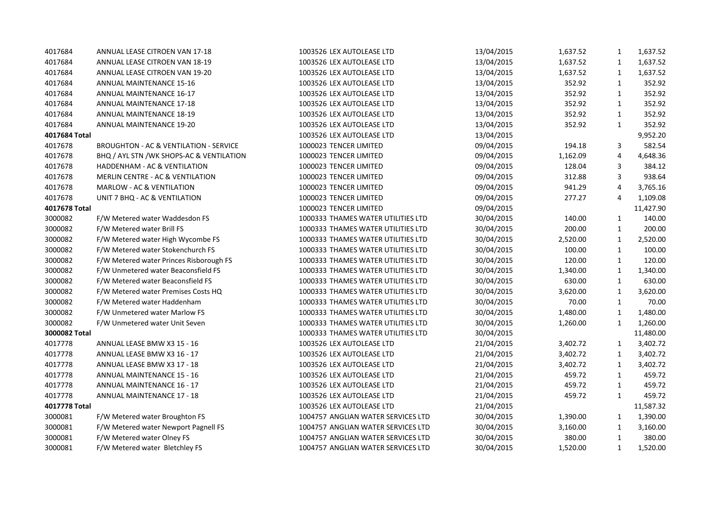| 4017684       | ANNUAL LEASE CITROEN VAN 17-18           | 1003526 LEX AUTOLEASE LTD          | 13/04/2015 | 1,637.52 | 1            | 1,637.52  |
|---------------|------------------------------------------|------------------------------------|------------|----------|--------------|-----------|
| 4017684       | ANNUAL LEASE CITROEN VAN 18-19           | 1003526 LEX AUTOLEASE LTD          | 13/04/2015 | 1,637.52 | 1            | 1,637.52  |
| 4017684       | ANNUAL LEASE CITROEN VAN 19-20           | 1003526 LEX AUTOLEASE LTD          | 13/04/2015 | 1,637.52 | 1            | 1,637.52  |
| 4017684       | <b>ANNUAL MAINTENANCE 15-16</b>          | 1003526 LEX AUTOLEASE LTD          | 13/04/2015 | 352.92   | $\mathbf{1}$ | 352.92    |
| 4017684       | <b>ANNUAL MAINTENANCE 16-17</b>          | 1003526 LEX AUTOLEASE LTD          | 13/04/2015 | 352.92   | 1            | 352.92    |
| 4017684       | <b>ANNUAL MAINTENANCE 17-18</b>          | 1003526 LEX AUTOLEASE LTD          | 13/04/2015 | 352.92   | 1            | 352.92    |
| 4017684       | <b>ANNUAL MAINTENANCE 18-19</b>          | 1003526 LEX AUTOLEASE LTD          | 13/04/2015 | 352.92   | 1            | 352.92    |
| 4017684       | ANNUAL MAINTENANCE 19-20                 | 1003526 LEX AUTOLEASE LTD          | 13/04/2015 | 352.92   | 1            | 352.92    |
| 4017684 Total |                                          | 1003526 LEX AUTOLEASE LTD          | 13/04/2015 |          |              | 9,952.20  |
| 4017678       | BROUGHTON - AC & VENTILATION - SERVICE   | 1000023 TENCER LIMITED             | 09/04/2015 | 194.18   | 3            | 582.54    |
| 4017678       | BHQ / AYL STN /WK SHOPS-AC & VENTILATION | 1000023 TENCER LIMITED             | 09/04/2015 | 1,162.09 | 4            | 4,648.36  |
| 4017678       | HADDENHAM - AC & VENTILATION             | 1000023 TENCER LIMITED             | 09/04/2015 | 128.04   | 3            | 384.12    |
| 4017678       | MERLIN CENTRE - AC & VENTILATION         | 1000023 TENCER LIMITED             | 09/04/2015 | 312.88   | 3            | 938.64    |
| 4017678       | MARLOW - AC & VENTILATION                | 1000023 TENCER LIMITED             | 09/04/2015 | 941.29   | 4            | 3,765.16  |
| 4017678       | UNIT 7 BHQ - AC & VENTILATION            | 1000023 TENCER LIMITED             | 09/04/2015 | 277.27   | 4            | 1,109.08  |
| 4017678 Total |                                          | 1000023 TENCER LIMITED             | 09/04/2015 |          |              | 11,427.90 |
| 3000082       | F/W Metered water Waddesdon FS           | 1000333 THAMES WATER UTILITIES LTD | 30/04/2015 | 140.00   | $\mathbf{1}$ | 140.00    |
| 3000082       | F/W Metered water Brill FS               | 1000333 THAMES WATER UTILITIES LTD | 30/04/2015 | 200.00   | $\mathbf{1}$ | 200.00    |
| 3000082       | F/W Metered water High Wycombe FS        | 1000333 THAMES WATER UTILITIES LTD | 30/04/2015 | 2,520.00 | 1            | 2,520.00  |
| 3000082       | F/W Metered water Stokenchurch FS        | 1000333 THAMES WATER UTILITIES LTD | 30/04/2015 | 100.00   | 1            | 100.00    |
| 3000082       | F/W Metered water Princes Risborough FS  | 1000333 THAMES WATER UTILITIES LTD | 30/04/2015 | 120.00   | 1            | 120.00    |
| 3000082       | F/W Unmetered water Beaconsfield FS      | 1000333 THAMES WATER UTILITIES LTD | 30/04/2015 | 1,340.00 | 1            | 1,340.00  |
| 3000082       | F/W Metered water Beaconsfield FS        | 1000333 THAMES WATER UTILITIES LTD | 30/04/2015 | 630.00   | $\mathbf{1}$ | 630.00    |
| 3000082       | F/W Metered water Premises Costs HQ      | 1000333 THAMES WATER UTILITIES LTD | 30/04/2015 | 3,620.00 | $\mathbf{1}$ | 3,620.00  |
| 3000082       | F/W Metered water Haddenham              | 1000333 THAMES WATER UTILITIES LTD | 30/04/2015 | 70.00    | $\mathbf{1}$ | 70.00     |
| 3000082       | F/W Unmetered water Marlow FS            | 1000333 THAMES WATER UTILITIES LTD | 30/04/2015 | 1,480.00 | $\mathbf{1}$ | 1,480.00  |
| 3000082       | F/W Unmetered water Unit Seven           | 1000333 THAMES WATER UTILITIES LTD | 30/04/2015 | 1,260.00 | $\mathbf{1}$ | 1,260.00  |
| 3000082 Total |                                          | 1000333 THAMES WATER UTILITIES LTD | 30/04/2015 |          |              | 11,480.00 |
| 4017778       | ANNUAL LEASE BMW X3 15 - 16              | 1003526 LEX AUTOLEASE LTD          | 21/04/2015 | 3,402.72 | $\mathbf{1}$ | 3,402.72  |
| 4017778       | ANNUAL LEASE BMW X3 16 - 17              | 1003526 LEX AUTOLEASE LTD          | 21/04/2015 | 3,402.72 | 1            | 3,402.72  |
| 4017778       | ANNUAL LEASE BMW X3 17 - 18              | 1003526 LEX AUTOLEASE LTD          | 21/04/2015 | 3,402.72 | 1            | 3,402.72  |
| 4017778       | <b>ANNUAL MAINTENANCE 15 - 16</b>        | 1003526 LEX AUTOLEASE LTD          | 21/04/2015 | 459.72   | 1            | 459.72    |
| 4017778       | <b>ANNUAL MAINTENANCE 16 - 17</b>        | 1003526 LEX AUTOLEASE LTD          | 21/04/2015 | 459.72   | $\mathbf{1}$ | 459.72    |
| 4017778       | <b>ANNUAL MAINTENANCE 17 - 18</b>        | 1003526 LEX AUTOLEASE LTD          | 21/04/2015 | 459.72   | 1            | 459.72    |
| 4017778 Total |                                          | 1003526 LEX AUTOLEASE LTD          | 21/04/2015 |          |              | 11,587.32 |
| 3000081       | F/W Metered water Broughton FS           | 1004757 ANGLIAN WATER SERVICES LTD | 30/04/2015 | 1,390.00 | 1            | 1,390.00  |
| 3000081       | F/W Metered water Newport Pagnell FS     | 1004757 ANGLIAN WATER SERVICES LTD | 30/04/2015 | 3,160.00 | $\mathbf{1}$ | 3,160.00  |
| 3000081       | F/W Metered water Olney FS               | 1004757 ANGLIAN WATER SERVICES LTD | 30/04/2015 | 380.00   | $\mathbf{1}$ | 380.00    |
| 3000081       | F/W Metered water Bletchley FS           | 1004757 ANGLIAN WATER SERVICES LTD | 30/04/2015 | 1,520.00 | $\mathbf{1}$ | 1,520.00  |
|               |                                          |                                    |            |          |              |           |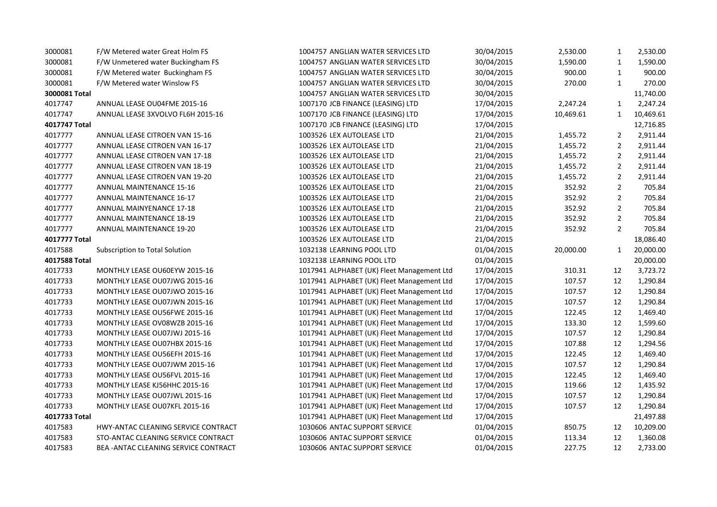| F/W Metered water Great Holm FS     | 1004757 ANGLIAN WATER SERVICES LTD         | 30/04/2015 | 2,530.00  | $\mathbf{1}$   | 2,530.00  |
|-------------------------------------|--------------------------------------------|------------|-----------|----------------|-----------|
| F/W Unmetered water Buckingham FS   | 1004757 ANGLIAN WATER SERVICES LTD         | 30/04/2015 | 1,590.00  | $\mathbf{1}$   | 1,590.00  |
| F/W Metered water Buckingham FS     | 1004757 ANGLIAN WATER SERVICES LTD         | 30/04/2015 | 900.00    | 1              | 900.00    |
| F/W Metered water Winslow FS        | 1004757 ANGLIAN WATER SERVICES LTD         | 30/04/2015 | 270.00    | $\mathbf{1}$   | 270.00    |
|                                     | 1004757 ANGLIAN WATER SERVICES LTD         | 30/04/2015 |           |                | 11,740.00 |
| ANNUAL LEASE OU04FME 2015-16        | 1007170 JCB FINANCE (LEASING) LTD          | 17/04/2015 | 2,247.24  | 1              | 2,247.24  |
| ANNUAL LEASE 3XVOLVO FL6H 2015-16   | 1007170 JCB FINANCE (LEASING) LTD          | 17/04/2015 | 10,469.61 | $\mathbf{1}$   | 10,469.61 |
|                                     | 1007170 JCB FINANCE (LEASING) LTD          | 17/04/2015 |           |                | 12,716.85 |
| ANNUAL LEASE CITROEN VAN 15-16      | 1003526 LEX AUTOLEASE LTD                  | 21/04/2015 | 1,455.72  | $\overline{2}$ | 2,911.44  |
| ANNUAL LEASE CITROEN VAN 16-17      | 1003526 LEX AUTOLEASE LTD                  | 21/04/2015 | 1,455.72  | $\overline{2}$ | 2,911.44  |
| ANNUAL LEASE CITROEN VAN 17-18      | 1003526 LEX AUTOLEASE LTD                  | 21/04/2015 | 1,455.72  | $\overline{2}$ | 2,911.44  |
| ANNUAL LEASE CITROEN VAN 18-19      | 1003526 LEX AUTOLEASE LTD                  | 21/04/2015 | 1,455.72  | 2              | 2,911.44  |
| ANNUAL LEASE CITROEN VAN 19-20      | 1003526 LEX AUTOLEASE LTD                  | 21/04/2015 | 1,455.72  | $\overline{2}$ | 2,911.44  |
| <b>ANNUAL MAINTENANCE 15-16</b>     | 1003526 LEX AUTOLEASE LTD                  | 21/04/2015 | 352.92    | $\overline{2}$ | 705.84    |
| <b>ANNUAL MAINTENANCE 16-17</b>     | 1003526 LEX AUTOLEASE LTD                  | 21/04/2015 | 352.92    | $\overline{2}$ | 705.84    |
| <b>ANNUAL MAINYENANCE 17-18</b>     | 1003526 LEX AUTOLEASE LTD                  | 21/04/2015 | 352.92    | $\overline{2}$ | 705.84    |
| <b>ANNUAL MAINTENANCE 18-19</b>     | 1003526 LEX AUTOLEASE LTD                  | 21/04/2015 | 352.92    | $\overline{2}$ | 705.84    |
| ANNUAL MAINTENANCE 19-20            | 1003526 LEX AUTOLEASE LTD                  | 21/04/2015 | 352.92    | $\overline{2}$ | 705.84    |
|                                     | 1003526 LEX AUTOLEASE LTD                  | 21/04/2015 |           |                | 18,086.40 |
| Subscription to Total Solution      | 1032138 LEARNING POOL LTD                  | 01/04/2015 | 20,000.00 | 1              | 20,000.00 |
|                                     | 1032138 LEARNING POOL LTD                  | 01/04/2015 |           |                | 20,000.00 |
| MONTHLY LEASE OU60EYW 2015-16       | 1017941 ALPHABET (UK) Fleet Management Ltd | 17/04/2015 | 310.31    | 12             | 3,723.72  |
| MONTHLY LEASE OU07JWG 2015-16       | 1017941 ALPHABET (UK) Fleet Management Ltd | 17/04/2015 | 107.57    | 12             | 1,290.84  |
| MONTHLY LEASE OU07JWO 2015-16       | 1017941 ALPHABET (UK) Fleet Management Ltd | 17/04/2015 | 107.57    | 12             | 1,290.84  |
| MONTHLY LEASE OU07JWN 2015-16       | 1017941 ALPHABET (UK) Fleet Management Ltd | 17/04/2015 | 107.57    | 12             | 1,290.84  |
| MONTHLY LEASE OU56FWE 2015-16       | 1017941 ALPHABET (UK) Fleet Management Ltd | 17/04/2015 | 122.45    | 12             | 1,469.40  |
| MONTHLY LEASE OV08WZB 2015-16       | 1017941 ALPHABET (UK) Fleet Management Ltd | 17/04/2015 | 133.30    | 12             | 1,599.60  |
| MONTHLY LEASE OU07JWJ 2015-16       | 1017941 ALPHABET (UK) Fleet Management Ltd | 17/04/2015 | 107.57    | 12             | 1,290.84  |
| MONTHLY LEASE OU07HBX 2015-16       | 1017941 ALPHABET (UK) Fleet Management Ltd | 17/04/2015 | 107.88    | 12             | 1,294.56  |
| MONTHLY LEASE OU56EFH 2015-16       | 1017941 ALPHABET (UK) Fleet Management Ltd | 17/04/2015 | 122.45    | 12             | 1,469.40  |
| MONTHLY LEASE OU07JWM 2015-16       | 1017941 ALPHABET (UK) Fleet Management Ltd | 17/04/2015 | 107.57    | 12             | 1,290.84  |
| MONTHLY LEASE OU56FVL 2015-16       | 1017941 ALPHABET (UK) Fleet Management Ltd | 17/04/2015 | 122.45    | 12             | 1,469.40  |
| MONTHLY LEASE KJ56HHC 2015-16       | 1017941 ALPHABET (UK) Fleet Management Ltd | 17/04/2015 | 119.66    | 12             | 1,435.92  |
| MONTHLY LEASE OU07JWL 2015-16       | 1017941 ALPHABET (UK) Fleet Management Ltd | 17/04/2015 | 107.57    | 12             | 1,290.84  |
| MONTHLY LEASE OU07KFL 2015-16       | 1017941 ALPHABET (UK) Fleet Management Ltd | 17/04/2015 | 107.57    | 12             | 1,290.84  |
|                                     | 1017941 ALPHABET (UK) Fleet Management Ltd | 17/04/2015 |           |                | 21,497.88 |
| HWY-ANTAC CLEANING SERVICE CONTRACT | 1030606 ANTAC SUPPORT SERVICE              | 01/04/2015 | 850.75    | 12             | 10,209.00 |
| STO-ANTAC CLEANING SERVICE CONTRACT | 1030606 ANTAC SUPPORT SERVICE              | 01/04/2015 | 113.34    | 12             | 1,360.08  |
| BEA-ANTAC CLEANING SERVICE CONTRACT | 1030606 ANTAC SUPPORT SERVICE              | 01/04/2015 | 227.75    | 12             | 2,733.00  |
|                                     |                                            |            |           |                |           |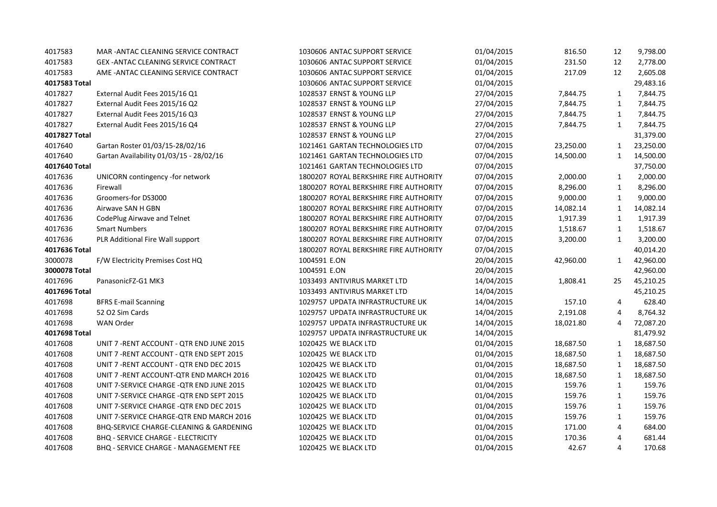| 4017583       | MAR-ANTAC CLEANING SERVICE CONTRACT          | 1030606 ANTAC SUPPORT SERVICE          | 01/04/2015 | 816.50    | 12             | 9,798.00  |
|---------------|----------------------------------------------|----------------------------------------|------------|-----------|----------------|-----------|
| 4017583       | GEX-ANTAC CLEANING SERVICE CONTRACT          | 1030606 ANTAC SUPPORT SERVICE          | 01/04/2015 | 231.50    | 12             | 2,778.00  |
| 4017583       | AME - ANTAC CLEANING SERVICE CONTRACT        | 1030606 ANTAC SUPPORT SERVICE          | 01/04/2015 | 217.09    | 12             | 2,605.08  |
| 4017583 Total |                                              | 1030606 ANTAC SUPPORT SERVICE          | 01/04/2015 |           |                | 29,483.16 |
| 4017827       | External Audit Fees 2015/16 Q1               | 1028537 ERNST & YOUNG LLP              | 27/04/2015 | 7,844.75  | 1              | 7,844.75  |
| 4017827       | External Audit Fees 2015/16 Q2               | 1028537 ERNST & YOUNG LLP              | 27/04/2015 | 7,844.75  | 1              | 7,844.75  |
| 4017827       | External Audit Fees 2015/16 Q3               | 1028537 ERNST & YOUNG LLP              | 27/04/2015 | 7,844.75  | $\mathbf{1}$   | 7,844.75  |
| 4017827       | External Audit Fees 2015/16 Q4               | 1028537 ERNST & YOUNG LLP              | 27/04/2015 | 7,844.75  | 1              | 7,844.75  |
| 4017827 Total |                                              | 1028537 ERNST & YOUNG LLP              | 27/04/2015 |           |                | 31,379.00 |
| 4017640       | Gartan Roster 01/03/15-28/02/16              | 1021461 GARTAN TECHNOLOGIES LTD        | 07/04/2015 | 23,250.00 | 1              | 23,250.00 |
| 4017640       | Gartan Availability 01/03/15 - 28/02/16      | 1021461 GARTAN TECHNOLOGIES LTD        | 07/04/2015 | 14,500.00 | 1              | 14,500.00 |
| 4017640 Total |                                              | 1021461 GARTAN TECHNOLOGIES LTD        | 07/04/2015 |           |                | 37,750.00 |
| 4017636       | UNICORN contingency -for network             | 1800207 ROYAL BERKSHIRE FIRE AUTHORITY | 07/04/2015 | 2,000.00  | $\mathbf{1}$   | 2,000.00  |
| 4017636       | Firewall                                     | 1800207 ROYAL BERKSHIRE FIRE AUTHORITY | 07/04/2015 | 8,296.00  | $\mathbf{1}$   | 8,296.00  |
| 4017636       | Groomers-for DS3000                          | 1800207 ROYAL BERKSHIRE FIRE AUTHORITY | 07/04/2015 | 9,000.00  | 1              | 9,000.00  |
| 4017636       | Airwave SAN H GBN                            | 1800207 ROYAL BERKSHIRE FIRE AUTHORITY | 07/04/2015 | 14,082.14 | 1              | 14,082.14 |
| 4017636       | CodePlug Airwave and Telnet                  | 1800207 ROYAL BERKSHIRE FIRE AUTHORITY | 07/04/2015 | 1,917.39  | 1              | 1,917.39  |
| 4017636       | <b>Smart Numbers</b>                         | 1800207 ROYAL BERKSHIRE FIRE AUTHORITY | 07/04/2015 | 1,518.67  | $\mathbf{1}$   | 1,518.67  |
| 4017636       | PLR Additional Fire Wall support             | 1800207 ROYAL BERKSHIRE FIRE AUTHORITY | 07/04/2015 | 3,200.00  | 1              | 3,200.00  |
| 4017636 Total |                                              | 1800207 ROYAL BERKSHIRE FIRE AUTHORITY | 07/04/2015 |           |                | 40,014.20 |
| 3000078       | F/W Electricity Premises Cost HQ             | 1004591 E.ON                           | 20/04/2015 | 42,960.00 | 1              | 42,960.00 |
| 3000078 Total |                                              | 1004591 E.ON                           | 20/04/2015 |           |                | 42,960.00 |
| 4017696       | PanasonicFZ-G1 MK3                           | 1033493 ANTIVIRUS MARKET LTD           | 14/04/2015 | 1,808.41  | 25             | 45,210.25 |
| 4017696 Total |                                              | 1033493 ANTIVIRUS MARKET LTD           | 14/04/2015 |           |                | 45,210.25 |
| 4017698       | <b>BFRS E-mail Scanning</b>                  | 1029757 UPDATA INFRASTRUCTURE UK       | 14/04/2015 | 157.10    | $\overline{4}$ | 628.40    |
| 4017698       | 52 O2 Sim Cards                              | 1029757 UPDATA INFRASTRUCTURE UK       | 14/04/2015 | 2,191.08  | 4              | 8,764.32  |
| 4017698       | <b>WAN Order</b>                             | 1029757 UPDATA INFRASTRUCTURE UK       | 14/04/2015 | 18,021.80 | 4              | 72,087.20 |
| 4017698 Total |                                              | 1029757 UPDATA INFRASTRUCTURE UK       | 14/04/2015 |           |                | 81,479.92 |
| 4017608       | UNIT 7 - RENT ACCOUNT - QTR END JUNE 2015    | 1020425 WE BLACK LTD                   | 01/04/2015 | 18,687.50 | $\mathbf{1}$   | 18,687.50 |
| 4017608       | UNIT 7 - RENT ACCOUNT - QTR END SEPT 2015    | 1020425 WE BLACK LTD                   | 01/04/2015 | 18,687.50 | $\mathbf{1}$   | 18,687.50 |
| 4017608       | UNIT 7 - RENT ACCOUNT - QTR END DEC 2015     | 1020425 WE BLACK LTD                   | 01/04/2015 | 18,687.50 | $\mathbf{1}$   | 18,687.50 |
| 4017608       | UNIT 7 - RENT ACCOUNT-QTR END MARCH 2016     | 1020425 WE BLACK LTD                   | 01/04/2015 | 18,687.50 | 1              | 18,687.50 |
| 4017608       | UNIT 7-SERVICE CHARGE - QTR END JUNE 2015    | 1020425 WE BLACK LTD                   | 01/04/2015 | 159.76    | $\mathbf{1}$   | 159.76    |
| 4017608       | UNIT 7-SERVICE CHARGE - QTR END SEPT 2015    | 1020425 WE BLACK LTD                   | 01/04/2015 | 159.76    | 1              | 159.76    |
| 4017608       | UNIT 7-SERVICE CHARGE - QTR END DEC 2015     | 1020425 WE BLACK LTD                   | 01/04/2015 | 159.76    | $\mathbf{1}$   | 159.76    |
| 4017608       | UNIT 7-SERVICE CHARGE-QTR END MARCH 2016     | 1020425 WE BLACK LTD                   | 01/04/2015 | 159.76    | $\mathbf{1}$   | 159.76    |
| 4017608       | BHQ-SERVICE CHARGE-CLEANING & GARDENING      | 1020425 WE BLACK LTD                   | 01/04/2015 | 171.00    | 4              | 684.00    |
| 4017608       | <b>BHQ - SERVICE CHARGE - ELECTRICITY</b>    | 1020425 WE BLACK LTD                   | 01/04/2015 | 170.36    | 4              | 681.44    |
| 4017608       | <b>BHQ - SERVICE CHARGE - MANAGEMENT FEE</b> | 1020425 WE BLACK LTD                   | 01/04/2015 | 42.67     | 4              | 170.68    |